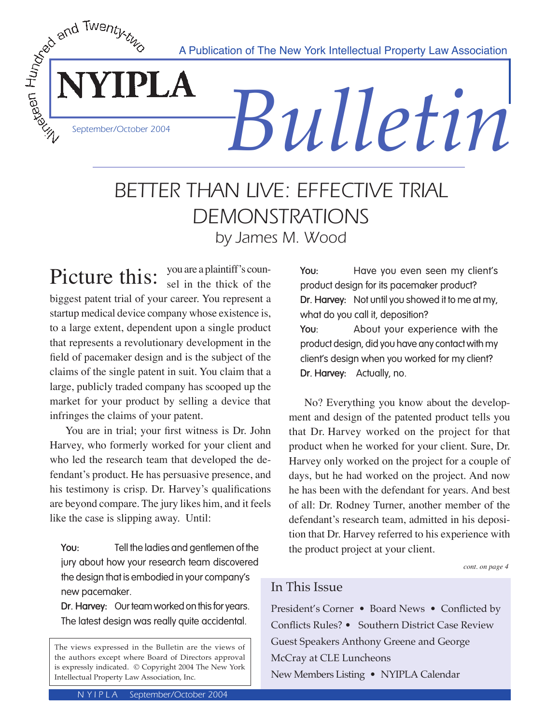A Publication of The New York Intellectual Property Law Association



# *Bulletin*

# BETTER THAN LIVE: EFFECTIVE TRIAL DEMONSTRATIONS by James M. Wood

Picture this: you are a plaintiff's counbiggest patent trial of your career. You represent a startup medical device company whose existence is, to a large extent, dependent upon a single product that represents a revolutionary development in the field of pacemaker design and is the subject of the claims of the single patent in suit. You claim that a large, publicly traded company has scooped up the market for your product by selling a device that infringes the claims of your patent.

 You are in trial; your first witness is Dr. John Harvey, who formerly worked for your client and who led the research team that developed the defendant's product. He has persuasive presence, and his testimony is crisp. Dr. Harvey's qualifications are beyond compare. The jury likes him, and it feels like the case is slipping away. Until:

**You:** Tell the ladies and gentlemen of the jury about how your research team discovered the design that is embodied in your company's new pacemaker.

**Dr. Harvey:** Our team worked on this for years. The latest design was really quite accidental.

**You:** Have you even seen my client's product design for its pacemaker product? **Dr. Harvey:** Not until you showed it to me at my, what do you call it, deposition? **You**: About your experience with the product design, did you have any contact with my client's design when you worked for my client? **Dr. Harvey:** Actually, no.

 No? Everything you know about the development and design of the patented product tells you that Dr. Harvey worked on the project for that product when he worked for your client. Sure, Dr. Harvey only worked on the project for a couple of days, but he had worked on the project. And now he has been with the defendant for years. And best of all: Dr. Rodney Turner, another member of the defendant's research team, admitted in his deposition that Dr. Harvey referred to his experience with the product project at your client.

*cont. on page 4*

# In This Issue

President's Corner • Board News • Conflicted by Conflicts Rules? • Southern District Case Review Guest Speakers Anthony Greene and George McCray at CLE Luncheons New Members Listing • NYIPLA Calendar

The views expressed in the Bulletin are the views of the authors except where Board of Directors approval is expressly indicated. © Copyright 2004 The New York Intellectual Property Law Association, Inc.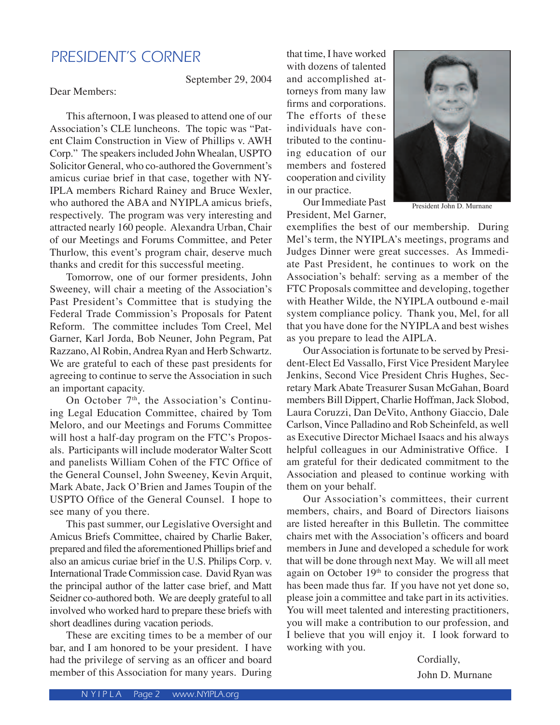# PRESIDENT'S CORNER

September 29, 2004

Dear Members:

 This afternoon, I was pleased to attend one of our Association's CLE luncheons. The topic was "Patent Claim Construction in View of Phillips v. AWH Corp." The speakers included John Whealan, USPTO Solicitor General, who co-authored the Government's amicus curiae brief in that case, together with NY-IPLA members Richard Rainey and Bruce Wexler, who authored the ABA and NYIPLA amicus briefs. respectively. The program was very interesting and attracted nearly 160 people. Alexandra Urban, Chair of our Meetings and Forums Committee, and Peter Thurlow, this event's program chair, deserve much

thanks and credit for this successful meeting. Tomorrow, one of our former presidents, John Sweeney, will chair a meeting of the Association's Past President's Committee that is studying the Federal Trade Commission's Proposals for Patent Reform. The committee includes Tom Creel, Mel Garner, Karl Jorda, Bob Neuner, John Pegram, Pat Razzano, Al Robin, Andrea Ryan and Herb Schwartz. We are grateful to each of these past presidents for agreeing to continue to serve the Association in such an important capacity.

On October 7<sup>th</sup>, the Association's Continuing Legal Education Committee, chaired by Tom Meloro, and our Meetings and Forums Committee will host a half-day program on the FTC's Proposals. Participants will include moderator Walter Scott and panelists William Cohen of the FTC Office of the General Counsel, John Sweeney, Kevin Arquit, Mark Abate, Jack O'Brien and James Toupin of the USPTO Office of the General Counsel. I hope to see many of you there.

 This past summer, our Legislative Oversight and Amicus Briefs Committee, chaired by Charlie Baker, prepared and filed the aforementioned Phillips brief and also an amicus curiae brief in the U.S. Philips Corp. v. International Trade Commission case. David Ryan was the principal author of the latter case brief, and Matt Seidner co-authored both. We are deeply grateful to all involved who worked hard to prepare these briefs with short deadlines during vacation periods.

 These are exciting times to be a member of our bar, and I am honored to be your president. I have had the privilege of serving as an officer and board member of this Association for many years. During

that time, I have worked with dozens of talented and accomplished attorneys from many law firms and corporations. The efforts of these individuals have contributed to the continuing education of our members and fostered cooperation and civility in our practice.



 Our Immediate Past President, Mel Garner,

President John D. Murnane

exemplifies the best of our membership. During Mel's term, the NYIPLA's meetings, programs and Judges Dinner were great successes. As Immediate Past President, he continues to work on the Association's behalf: serving as a member of the FTC Proposals committee and developing, together with Heather Wilde, the NYIPLA outbound e-mail system compliance policy. Thank you, Mel, for all that you have done for the NYIPLA and best wishes as you prepare to lead the AIPLA.

 Our Association is fortunate to be served by President-Elect Ed Vassallo, First Vice President Marylee Jenkins, Second Vice President Chris Hughes, Secretary Mark Abate Treasurer Susan McGahan, Board members Bill Dippert, Charlie Hoffman, Jack Slobod, Laura Coruzzi, Dan DeVito, Anthony Giaccio, Dale Carlson, Vince Palladino and Rob Scheinfeld, as well as Executive Director Michael Isaacs and his always helpful colleagues in our Administrative Office. I am grateful for their dedicated commitment to the Association and pleased to continue working with them on your behalf.

 Our Association's committees, their current members, chairs, and Board of Directors liaisons are listed hereafter in this Bulletin. The committee chairs met with the Association's officers and board members in June and developed a schedule for work that will be done through next May. We will all meet again on October 19<sup>th</sup> to consider the progress that has been made thus far. If you have not yet done so, please join a committee and take part in its activities. You will meet talented and interesting practitioners, you will make a contribution to our profession, and I believe that you will enjoy it. I look forward to working with you.

> Cordially, John D. Murnane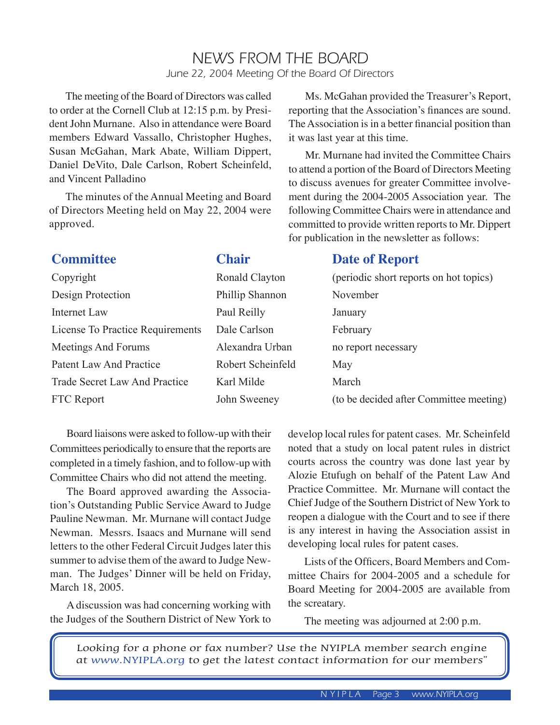# NEWS FROM THE BOARD June 22, 2004 Meeting Of the Board Of Directors

 The meeting of the Board of Directors was called to order at the Cornell Club at 12:15 p.m. by President John Murnane. Also in attendance were Board members Edward Vassallo, Christopher Hughes, Susan McGahan, Mark Abate, William Dippert, Daniel DeVito, Dale Carlson, Robert Scheinfeld, and Vincent Palladino

 The minutes of the Annual Meeting and Board of Directors Meeting held on May 22, 2004 were approved.

 Ms. McGahan provided the Treasurer's Report, reporting that the Association's finances are sound. The Association is in a better financial position than it was last year at this time.

 Mr. Murnane had invited the Committee Chairs to attend a portion of the Board of Directors Meeting to discuss avenues for greater Committee involvement during the 2004-2005 Association year. The following Committee Chairs were in attendance and committed to provide written reports to Mr. Dippert for publication in the newsletter as follows:

| <b>Committee</b>                 | <b>Chair</b>      | <b>Date of Report</b>                   |
|----------------------------------|-------------------|-----------------------------------------|
| Copyright                        | Ronald Clayton    | (periodic short reports on hot topics)  |
| Design Protection                | Phillip Shannon   | November                                |
| Internet Law                     | Paul Reilly       | January                                 |
| License To Practice Requirements | Dale Carlson      | February                                |
| Meetings And Forums              | Alexandra Urban   | no report necessary                     |
| Patent Law And Practice          | Robert Scheinfeld | May                                     |
| Trade Secret Law And Practice    | Karl Milde        | March                                   |
| FTC Report                       | John Sweeney      | (to be decided after Committee meeting) |
|                                  |                   |                                         |

 Board liaisons were asked to follow-up with their Committees periodically to ensure that the reports are completed in a timely fashion, and to follow-up with Committee Chairs who did not attend the meeting.

 The Board approved awarding the Association's Outstanding Public Service Award to Judge Pauline Newman. Mr. Murnane will contact Judge Newman. Messrs. Isaacs and Murnane will send letters to the other Federal Circuit Judges later this summer to advise them of the award to Judge Newman. The Judges' Dinner will be held on Friday, March 18, 2005.

 A discussion was had concerning working with the Judges of the Southern District of New York to

develop local rules for patent cases. Mr. Scheinfeld noted that a study on local patent rules in district courts across the country was done last year by Alozie Etufugh on behalf of the Patent Law And Practice Committee. Mr. Murnane will contact the Chief Judge of the Southern District of New York to reopen a dialogue with the Court and to see if there is any interest in having the Association assist in developing local rules for patent cases.

 Lists of the Officers, Board Members and Committee Chairs for 2004-2005 and a schedule for Board Meeting for 2004-2005 are available from the screatary.

The meeting was adjourned at 2:00 p.m.

Looking for a phone or fax number? Use the NYIPLA member search engine at www.NYIPLA.org to get the latest contact information for our members"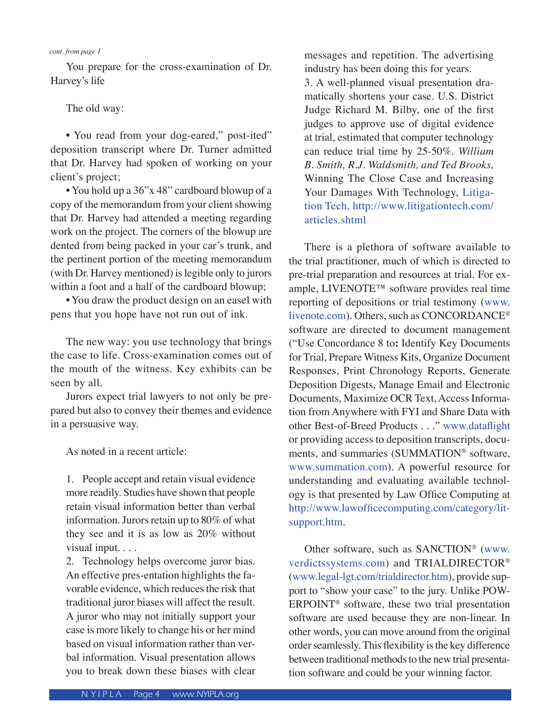#### *cont. from page 1*

You prepare for the cross-examination of Dr. Harvey's life

#### The old way:

 • You read from your dog-eared," post-ited" deposition transcript where Dr. Turner admitted that Dr. Harvey had spoken of working on your client's project;

 • You hold up a 36"x 48" cardboard blowup of a copy of the memorandum from your client showing that Dr. Harvey had attended a meeting regarding work on the project. The corners of the blowup are dented from being packed in your car's trunk, and the pertinent portion of the meeting memorandum (with Dr. Harvey mentioned) is legible only to jurors within a foot and a half of the cardboard blowup;

 • You draw the product design on an easel with pens that you hope have not run out of ink.

 The new way: you use technology that brings the case to life. Cross-examination comes out of the mouth of the witness. Key exhibits can be seen by all.

 Jurors expect trial lawyers to not only be prepared but also to convey their themes and evidence in a persuasive way.

As noted in a recent article:

1. People accept and retain visual evidence more readily. Studies have shown that people retain visual information better than verbal information. Jurors retain up to 80% of what they see and it is as low as 20% without visual input. . . .

2. Technology helps overcome juror bias. An effective pres-entation highlights the favorable evidence, which reduces the risk that traditional juror biases will affect the result. A juror who may not initially support your case is more likely to change his or her mind based on visual information rather than verbal information. Visual presentation allows you to break down these biases with clear

messages and repetition. The advertising industry has been doing this for years.

3. A well-planned visual presentation dramatically shortens your case. U.S. District Judge Richard M. Bilby, one of the first judges to approve use of digital evidence at trial, estimated that computer technology can reduce trial time by 25-50%. *William B. Smith, R.J. Waldsmith, and Ted Brooks,*  Winning The Close Case and Increasing Your Damages With Technology, Litigation Tech, http://www.litigationtech.com/ articles.shtml

 There is a plethora of software available to the trial practitioner, much of which is directed to pre-trial preparation and resources at trial. For example, LIVENOTE™ software provides real time reporting of depositions or trial testimony (www. livenote.com). Others, such as CONCORDANCE® software are directed to document management ("Use Concordance 8 to**:** Identify Key Documents for Trial, Prepare Witness Kits, Organize Document Responses, Print Chronology Reports, Generate Deposition Digests, Manage Email and Electronic Documents, Maximize OCR Text, Access Information from Anywhere with FYI and Share Data with other Best-of-Breed Products . . ." www.dataflight or providing access to deposition transcripts, documents, and summaries (SUMMATION® software, www.summation.com). A powerful resource for understanding and evaluating available technology is that presented by Law Office Computing at http://www.lawofficecomputing.com/category/litsupport.htm.

 Other software, such as SANCTION® (www. verdictssystems.com) and TRIALDIRECTOR® (www.legal-lgt.com/trialdirector.htm), provide support to "show your case" to the jury. Unlike POW-ERPOINT® software, these two trial presentation software are used because they are non-linear. In other words, you can move around from the original order seamlessly. This flexibility is the key difference between traditional methods to the new trial presentation software and could be your winning factor.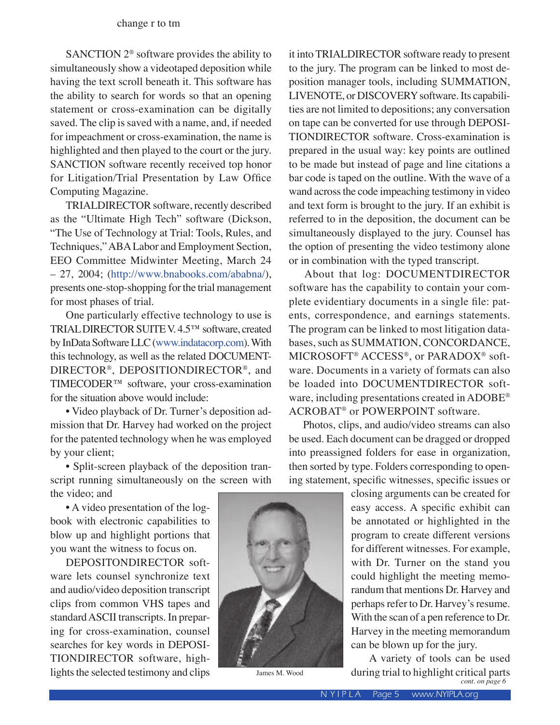SANCTION 2® software provides the ability to simultaneously show a videotaped deposition while having the text scroll beneath it. This software has the ability to search for words so that an opening statement or cross-examination can be digitally saved. The clip is saved with a name, and, if needed for impeachment or cross-examination, the name is highlighted and then played to the court or the jury. SANCTION software recently received top honor for Litigation/Trial Presentation by Law Office Computing Magazine.

 TRIALDIRECTOR software, recently described as the "Ultimate High Tech" software (Dickson, "The Use of Technology at Trial: Tools, Rules, and Techniques," ABA Labor and Employment Section, EEO Committee Midwinter Meeting, March 24 – 27, 2004; (http://www.bnabooks.com/ababna/), presents one-stop-shopping for the trial management for most phases of trial.

 One particularly effective technology to use is TRIAL DIRECTOR SUITE V. 4.5™ software, created by InData Software LLC (www.indatacorp.com). With this technology, as well as the related DOCUMENT-DIRECTOR®, DEPOSITIONDIRECTOR®, and TIMECODER™ software, your cross-examination for the situation above would include:

 • Video playback of Dr. Turner's deposition admission that Dr. Harvey had worked on the project for the patented technology when he was employed by your client;

 • Split-screen playback of the deposition transcript running simultaneously on the screen with the video; and

 • A video presentation of the logbook with electronic capabilities to blow up and highlight portions that you want the witness to focus on.

 DEPOSITONDIRECTOR software lets counsel synchronize text and audio/video deposition transcript clips from common VHS tapes and standard ASCII transcripts. In preparing for cross-examination, counsel searches for key words in DEPOSI-TIONDIRECTOR software, highlights the selected testimony and clips James M. Wood

it into TRIALDIRECTOR software ready to present to the jury. The program can be linked to most deposition manager tools, including SUMMATION, LIVENOTE, or DISCOVERY software. Its capabilities are not limited to depositions; any conversation on tape can be converted for use through DEPOSI-TIONDIRECTOR software. Cross-examination is prepared in the usual way: key points are outlined to be made but instead of page and line citations a bar code is taped on the outline. With the wave of a wand across the code impeaching testimony in video and text form is brought to the jury. If an exhibit is referred to in the deposition, the document can be simultaneously displayed to the jury. Counsel has the option of presenting the video testimony alone or in combination with the typed transcript.

 About that log: DOCUMENTDIRECTOR software has the capability to contain your complete evidentiary documents in a single file: patents, correspondence, and earnings statements. The program can be linked to most litigation databases, such as SUMMATION, CONCORDANCE, MICROSOFT® ACCESS®, or PARADOX® software. Documents in a variety of formats can also be loaded into DOCUMENTDIRECTOR software, including presentations created in ADOBE® ACROBAT® or POWERPOINT software.

 Photos, clips, and audio/video streams can also be used. Each document can be dragged or dropped into preassigned folders for ease in organization, then sorted by type. Folders corresponding to opening statement, specific witnesses, specific issues or

> closing arguments can be created for easy access. A specific exhibit can be annotated or highlighted in the program to create different versions for different witnesses. For example, with Dr. Turner on the stand you could highlight the meeting memorandum that mentions Dr. Harvey and perhaps refer to Dr. Harvey's resume. With the scan of a pen reference to Dr. Harvey in the meeting memorandum can be blown up for the jury.

> A variety of tools can be used during trial to highlight critical parts *cont. on page 6*

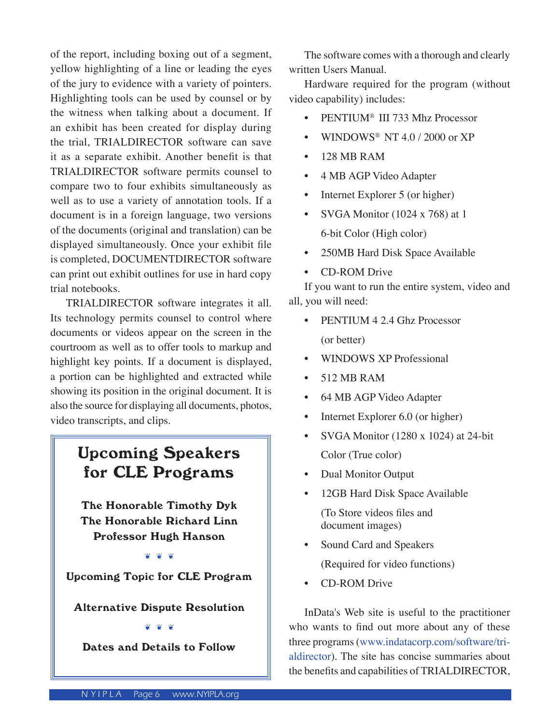of the report, including boxing out of a segment, yellow highlighting of a line or leading the eyes of the jury to evidence with a variety of pointers. Highlighting tools can be used by counsel or by the witness when talking about a document. If an exhibit has been created for display during the trial, TRIALDIRECTOR software can save it as a separate exhibit. Another benefit is that TRIALDIRECTOR software permits counsel to compare two to four exhibits simultaneously as well as to use a variety of annotation tools. If a document is in a foreign language, two versions of the documents (original and translation) can be displayed simultaneously. Once your exhibit file is completed, DOCUMENTDIRECTOR software can print out exhibit outlines for use in hard copy trial notebooks.

 TRIALDIRECTOR software integrates it all. Its technology permits counsel to control where documents or videos appear on the screen in the courtroom as well as to offer tools to markup and highlight key points. If a document is displayed, a portion can be highlighted and extracted while showing its position in the original document. It is also the source for displaying all documents, photos, video transcripts, and clips.

# Upcoming Speakers for CLE Programs

The Honorable Timothy Dyk The Honorable Richard Linn Professor Hugh Hanson

❦ ❦ ❦

Upcoming Topic for CLE Program

Alternative Dispute Resolution

#### ❦ ❦ ❦

Dates and Details to Follow

 The software comes with a thorough and clearly written Users Manual.

 Hardware required for the program (without video capability) includes:

- PENTIUM<sup>®</sup> III 733 Mhz Processor
- WINDOWS® NT 4.0 / 2000 or XP
- 128 MB RAM
- 4 MB AGP Video Adapter
- Internet Explorer 5 (or higher)
- SVGA Monitor (1024 x 768) at 1 6-bit Color (High color)
- 250MB Hard Disk Space Available
- CD-ROM Drive

 If you want to run the entire system, video and all, you will need:

- PENTIUM 4 2.4 Ghz Processor (or better)
- WINDOWS XP Professional
- 512 MB RAM
- 64 MB AGP Video Adapter
- Internet Explorer 6.0 (or higher)
- SVGA Monitor (1280 x 1024) at 24-bit Color (True color)
- Dual Monitor Output
- 12GB Hard Disk Space Available

 (To Store videos files and document images)

- Sound Card and Speakers (Required for video functions)
- CD-ROM Drive

 InData's Web site is useful to the practitioner who wants to find out more about any of these three programs (www.indatacorp.com/software/trialdirector). The site has concise summaries about the benefits and capabilities of TRIALDIRECTOR,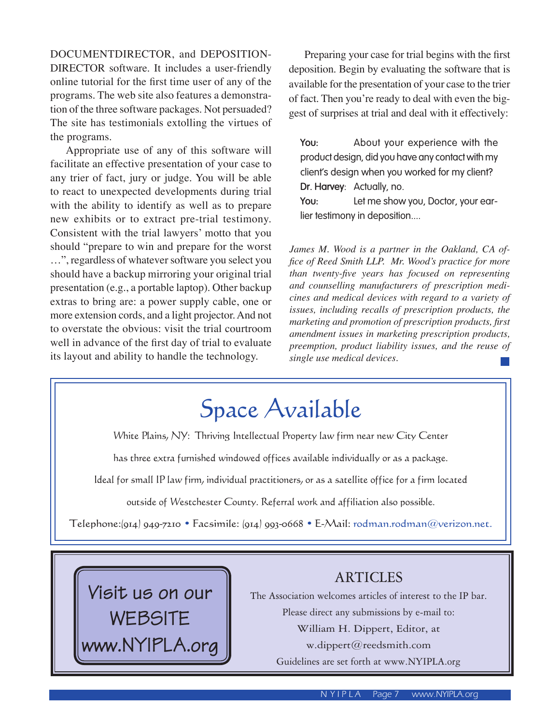DOCUMENTDIRECTOR, and DEPOSITION-DIRECTOR software. It includes a user-friendly online tutorial for the first time user of any of the programs. The web site also features a demonstration of the three software packages. Not persuaded? The site has testimonials extolling the virtues of the programs.

 Appropriate use of any of this software will facilitate an effective presentation of your case to any trier of fact, jury or judge. You will be able to react to unexpected developments during trial with the ability to identify as well as to prepare new exhibits or to extract pre-trial testimony. Consistent with the trial lawyers' motto that you should "prepare to win and prepare for the worst …", regardless of whatever software you select you should have a backup mirroring your original trial presentation (e.g., a portable laptop). Other backup extras to bring are: a power supply cable, one or more extension cords, and a light projector. And not to overstate the obvious: visit the trial courtroom well in advance of the first day of trial to evaluate its layout and ability to handle the technology.

 Preparing your case for trial begins with the first deposition. Begin by evaluating the software that is available for the presentation of your case to the trier of fact. Then you're ready to deal with even the biggest of surprises at trial and deal with it effectively:

**You:** About your experience with the product design, did you have any contact with my client's design when you worked for my client? **Dr. Harvey**: Actually, no.

**You:** Let me show you, Doctor, your earlier testimony in deposition....

*James M. Wood is a partner in the Oakland, CA office of Reed Smith LLP. Mr. Wood's practice for more than twenty-five years has focused on representing and counselling manufacturers of prescription medicines and medical devices with regard to a variety of issues, including recalls of prescription products, the marketing and promotion of prescription products, first amendment issues in marketing prescription products, preemption, product liability issues, and the reuse of single use medical devices.*

# Space Available

White Plains, NY: Thriving Intellectual Property law firm near new City Center

has three extra furnished windowed offices available individually or as a package.

Ideal for small IP law firm, individual practitioners, or as a satellite office for a firm located

outside of Westchester County. Referral work and affiliation also possible.

Telephone:(914) 949-7210 • Facsimile: (914) 993-0668 • E-Mail: rodman.rodman@verizon.net.



# ARTICLES

The Association welcomes articles of interest to the IP bar. Please direct any submissions by e-mail to: William H. Dippert, Editor, at w.dippert@reedsmith.com Guidelines are set forth at www.NYIPLA.org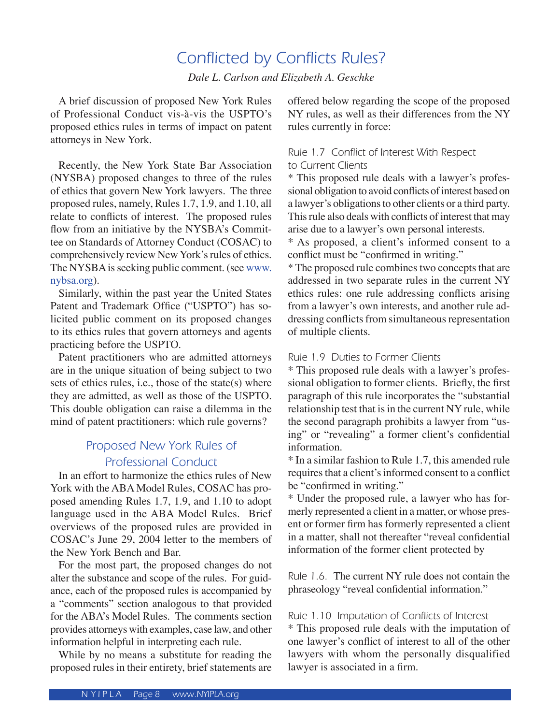# Conflicted by Conflicts Rules?

*Dale L. Carlson and Elizabeth A. Geschke* 

 A brief discussion of proposed New York Rules of Professional Conduct vis-à-vis the USPTO's proposed ethics rules in terms of impact on patent attorneys in New York.

 Recently, the New York State Bar Association (NYSBA) proposed changes to three of the rules of ethics that govern New York lawyers. The three proposed rules, namely, Rules 1.7, 1.9, and 1.10, all relate to conflicts of interest. The proposed rules flow from an initiative by the NYSBA's Committee on Standards of Attorney Conduct (COSAC) to comprehensively review New York's rules of ethics. The NYSBA is seeking public comment. (see www. nybsa.org).

 Similarly, within the past year the United States Patent and Trademark Office ("USPTO") has solicited public comment on its proposed changes to its ethics rules that govern attorneys and agents practicing before the USPTO.

 Patent practitioners who are admitted attorneys are in the unique situation of being subject to two sets of ethics rules, i.e., those of the state(s) where they are admitted, as well as those of the USPTO. This double obligation can raise a dilemma in the mind of patent practitioners: which rule governs?

# Proposed New York Rules of Professional Conduct

 In an effort to harmonize the ethics rules of New York with the ABA Model Rules, COSAC has proposed amending Rules 1.7, 1.9, and 1.10 to adopt language used in the ABA Model Rules. Brief overviews of the proposed rules are provided in COSAC's June 29, 2004 letter to the members of the New York Bench and Bar.

 For the most part, the proposed changes do not alter the substance and scope of the rules. For guidance, each of the proposed rules is accompanied by a "comments" section analogous to that provided for the ABA's Model Rules. The comments section provides attorneys with examples, case law, and other information helpful in interpreting each rule.

 While by no means a substitute for reading the proposed rules in their entirety, brief statements are offered below regarding the scope of the proposed NY rules, as well as their differences from the NY rules currently in force:

#### Rule 1.7 Conflict of Interest With Respect to Current Clients

\* This proposed rule deals with a lawyer's professional obligation to avoid conflicts of interest based on a lawyer's obligations to other clients or a third party. This rule also deals with conflicts of interest that may arise due to a lawyer's own personal interests.

\* As proposed, a client's informed consent to a conflict must be "confirmed in writing."

\* The proposed rule combines two concepts that are addressed in two separate rules in the current NY ethics rules: one rule addressing conflicts arising from a lawyer's own interests, and another rule addressing conflicts from simultaneous representation of multiple clients.

#### Rule 1.9 Duties to Former Clients

\* This proposed rule deals with a lawyer's professional obligation to former clients. Briefly, the first paragraph of this rule incorporates the "substantial relationship test that is in the current NY rule, while the second paragraph prohibits a lawyer from "using" or "revealing" a former client's confidential information.

\* In a similar fashion to Rule 1.7, this amended rule requires that a client's informed consent to a conflict be "confirmed in writing."

\* Under the proposed rule, a lawyer who has formerly represented a client in a matter, or whose present or former firm has formerly represented a client in a matter, shall not thereafter "reveal confidential information of the former client protected by

Rule 1.6. The current NY rule does not contain the phraseology "reveal confidential information."

Rule 1.10 Imputation of Conflicts of Interest \* This proposed rule deals with the imputation of one lawyer's conflict of interest to all of the other lawyers with whom the personally disqualified lawyer is associated in a firm.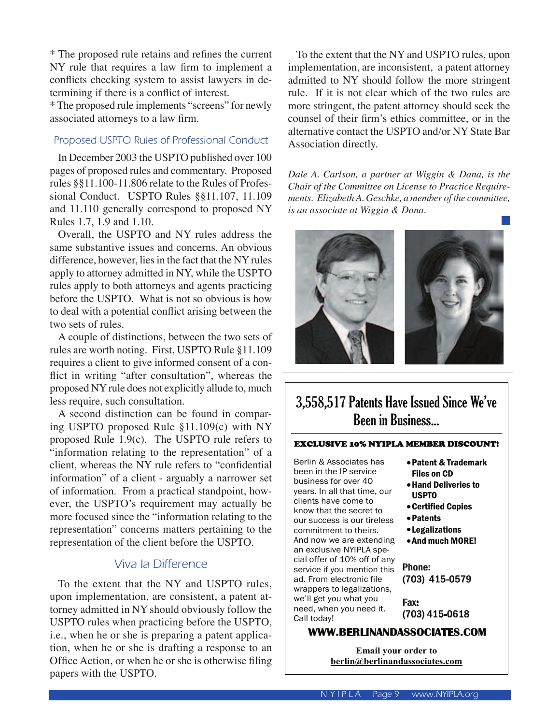\* The proposed rule retains and refines the current NY rule that requires a law firm to implement a conflicts checking system to assist lawyers in determining if there is a conflict of interest.

\* The proposed rule implements "screens" for newly associated attorneys to a law firm.

#### Proposed USPTO Rules of Professional Conduct

 In December 2003 the USPTO published over 100 pages of proposed rules and commentary. Proposed rules §§11.100-11.806 relate to the Rules of Professional Conduct. USPTO Rules §§11.107, 11.109 and 11.110 generally correspond to proposed NY Rules 1.7, 1.9 and 1.10.

 Overall, the USPTO and NY rules address the same substantive issues and concerns. An obvious difference, however, lies in the fact that the NY rules apply to attorney admitted in NY, while the USPTO rules apply to both attorneys and agents practicing before the USPTO. What is not so obvious is how to deal with a potential conflict arising between the two sets of rules.

 A couple of distinctions, between the two sets of rules are worth noting. First, USPTO Rule §11.109 requires a client to give informed consent of a conflict in writing "after consultation", whereas the proposed NY rule does not explicitly allude to, much less require, such consultation.

 A second distinction can be found in comparing USPTO proposed Rule §11.109(c) with NY proposed Rule 1.9(c). The USPTO rule refers to "information relating to the representation" of a client, whereas the NY rule refers to "confidential information" of a client - arguably a narrower set of information. From a practical standpoint, however, the USPTO's requirement may actually be more focused since the "information relating to the representation" concerns matters pertaining to the representation of the client before the USPTO.

## Viva la Difference

 To the extent that the NY and USPTO rules, upon implementation, are consistent, a patent attorney admitted in NY should obviously follow the USPTO rules when practicing before the USPTO, i.e., when he or she is preparing a patent application, when he or she is drafting a response to an Office Action, or when he or she is otherwise filing papers with the USPTO.

 To the extent that the NY and USPTO rules, upon implementation, are inconsistent, a patent attorney admitted to NY should follow the more stringent rule. If it is not clear which of the two rules are more stringent, the patent attorney should seek the counsel of their firm's ethics committee, or in the alternative contact the USPTO and/or NY State Bar Association directly.

*Dale A. Carlson, a partner at Wiggin & Dana, is the Chair of the Committee on License to Practice Requirements. Elizabeth A. Geschke, a member of the committee, is an associate at Wiggin & Dana.*



# 3,558,517 Patents Have Issued Since We've Been in Business...

#### EXCLUSIVE 10% NYIPLA MEMBER DISCOUNT!

Berlin & Associates has been in the IP service business for over 40 years. In all that time, our clients have come to know that the secret to our success is our tireless commitment to theirs. And now we are extending an exclusive NYIPLA special offer of 10% off of any service if you mention this ad. From electronic file wrappers to legalizations, we'll get you what you need, when you need it. Call today!

- •Patent & Trademark Files on CD
- •Hand Deliveries to USPTO
- •Certified Copies
- •Patents
- •Legalizations
- •And much MORE!

Phone: (703) 415-0579

Fax: (703) 415-0618

#### **WWW.BERLINANDASSOCIATES.COM**

**Email your order to berlin@berlinandassociates.com**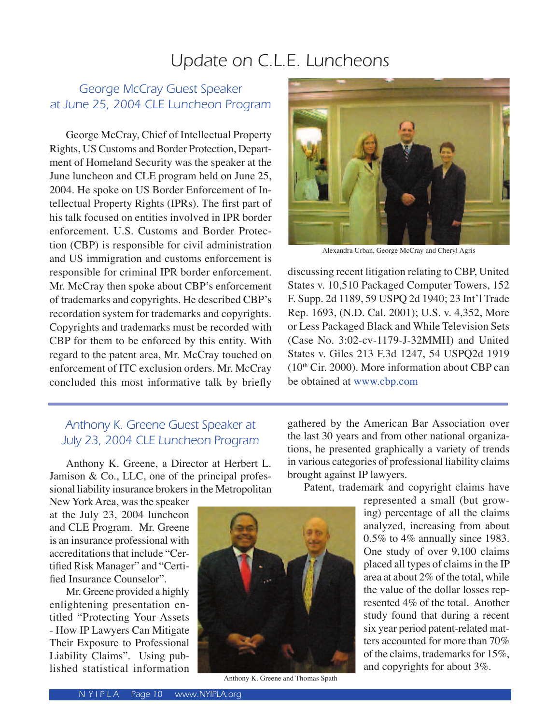# Update on C.L.E. Luncheons

# George McCray Guest Speaker at June 25, 2004 CLE Luncheon Program

George McCray, Chief of Intellectual Property Rights, US Customs and Border Protection, Department of Homeland Security was the speaker at the June luncheon and CLE program held on June 25, 2004. He spoke on US Border Enforcement of Intellectual Property Rights (IPRs). The first part of his talk focused on entities involved in IPR border enforcement. U.S. Customs and Border Protection (CBP) is responsible for civil administration and US immigration and customs enforcement is responsible for criminal IPR border enforcement. Mr. McCray then spoke about CBP's enforcement of trademarks and copyrights. He described CBP's recordation system for trademarks and copyrights. Copyrights and trademarks must be recorded with CBP for them to be enforced by this entity. With regard to the patent area, Mr. McCray touched on enforcement of ITC exclusion orders. Mr. McCray concluded this most informative talk by briefly

# Anthony K. Greene Guest Speaker at July 23, 2004 CLE Luncheon Program

Anthony K. Greene, a Director at Herbert L. Jamison & Co., LLC, one of the principal professional liability insurance brokers in the Metropolitan

New York Area, was the speaker at the July 23, 2004 luncheon and CLE Program. Mr. Greene is an insurance professional with accreditations that include "Certified Risk Manager" and "Certified Insurance Counselor".

 Mr. Greene provided a highly enlightening presentation entitled "Protecting Your Assets - How IP Lawyers Can Mitigate Their Exposure to Professional Liability Claims". Using published statistical information



Anthony K. Greene and Thomas Spath



Alexandra Urban, George McCray and Cheryl Agris

discussing recent litigation relating to CBP, United States v. 10,510 Packaged Computer Towers, 152 F. Supp. 2d 1189, 59 USPQ 2d 1940; 23 Int'l Trade Rep. 1693, (N.D. Cal. 2001); U.S. v. 4,352, More or Less Packaged Black and While Television Sets (Case No. 3:02-cv-1179-J-32MMH) and United States v. Giles 213 F.3d 1247, 54 USPQ2d 1919  $(10<sup>th</sup> Cir. 2000)$ . More information about CBP can be obtained at www.cbp.com

gathered by the American Bar Association over the last 30 years and from other national organizations, he presented graphically a variety of trends in various categories of professional liability claims brought against IP lawyers.

Patent, trademark and copyright claims have

represented a small (but growing) percentage of all the claims analyzed, increasing from about 0.5% to 4% annually since 1983. One study of over 9,100 claims placed all types of claims in the IP area at about 2% of the total, while the value of the dollar losses represented 4% of the total. Another study found that during a recent six year period patent-related matters accounted for more than 70% of the claims, trademarks for 15%, and copyrights for about 3%.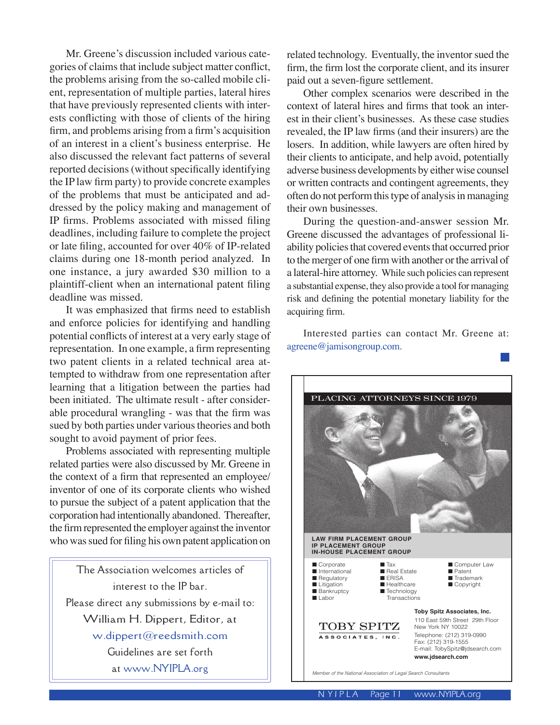Mr. Greene's discussion included various categories of claims that include subject matter conflict, the problems arising from the so-called mobile client, representation of multiple parties, lateral hires that have previously represented clients with interests conflicting with those of clients of the hiring firm, and problems arising from a firm's acquisition of an interest in a client's business enterprise. He also discussed the relevant fact patterns of several reported decisions (without specifically identifying the IP law firm party) to provide concrete examples of the problems that must be anticipated and addressed by the policy making and management of IP firms. Problems associated with missed filing deadlines, including failure to complete the project or late filing, accounted for over 40% of IP-related claims during one 18-month period analyzed. In one instance, a jury awarded \$30 million to a plaintiff-client when an international patent filing deadline was missed.

 It was emphasized that firms need to establish and enforce policies for identifying and handling potential conflicts of interest at a very early stage of representation. In one example, a firm representing two patent clients in a related technical area attempted to withdraw from one representation after learning that a litigation between the parties had been initiated. The ultimate result - after considerable procedural wrangling - was that the firm was sued by both parties under various theories and both sought to avoid payment of prior fees.

 Problems associated with representing multiple related parties were also discussed by Mr. Greene in the context of a firm that represented an employee/ inventor of one of its corporate clients who wished to pursue the subject of a patent application that the corporation had intentionally abandoned. Thereafter, the firm represented the employer against the inventor who was sued for filing his own patent application on

The Association welcomes articles of interest to the IP bar. Please direct any submissions by e-mail to: William H. Dippert, Editor, at w.dippert@reedsmith.com Guidelines are set forth at www.NYIPLA.org

related technology. Eventually, the inventor sued the firm, the firm lost the corporate client, and its insurer paid out a seven-figure settlement.

 Other complex scenarios were described in the context of lateral hires and firms that took an interest in their client's businesses. As these case studies revealed, the IP law firms (and their insurers) are the losers. In addition, while lawyers are often hired by their clients to anticipate, and help avoid, potentially adverse business developments by either wise counsel or written contracts and contingent agreements, they often do not perform this type of analysis in managing their own businesses.

 During the question-and-answer session Mr. Greene discussed the advantages of professional liability policies that covered events that occurred prior to the merger of one firm with another or the arrival of a lateral-hire attorney. While such policies can represent a substantial expense, they also provide a tool for managing risk and defining the potential monetary liability for the acquiring firm.

 Interested parties can contact Mr. Greene at: agreene@jamisongroup.com.

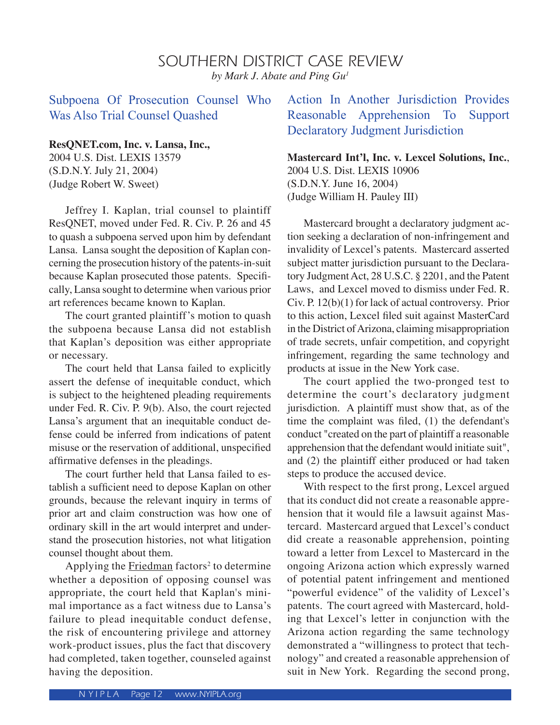## SOUTHERN DISTRICT CASE REVIEW *by Mark J. Abate and Ping Gu1*

Subpoena Of Prosecution Counsel Who Was Also Trial Counsel Quashed

#### **ResQNET.com, Inc. v. Lansa, Inc.,**

2004 U.S. Dist. LEXIS 13579 (S.D.N.Y. July 21, 2004) (Judge Robert W. Sweet)

 Jeffrey I. Kaplan, trial counsel to plaintiff ResQNET, moved under Fed. R. Civ. P. 26 and 45 to quash a subpoena served upon him by defendant Lansa. Lansa sought the deposition of Kaplan concerning the prosecution history of the patents-in-suit because Kaplan prosecuted those patents. Specifically, Lansa sought to determine when various prior art references became known to Kaplan.

 The court granted plaintiff's motion to quash the subpoena because Lansa did not establish that Kaplan's deposition was either appropriate or necessary.

 The court held that Lansa failed to explicitly assert the defense of inequitable conduct, which is subject to the heightened pleading requirements under Fed. R. Civ. P. 9(b). Also, the court rejected Lansa's argument that an inequitable conduct defense could be inferred from indications of patent misuse or the reservation of additional, unspecified affirmative defenses in the pleadings.

 The court further held that Lansa failed to establish a sufficient need to depose Kaplan on other grounds, because the relevant inquiry in terms of prior art and claim construction was how one of ordinary skill in the art would interpret and understand the prosecution histories, not what litigation counsel thought about them.

Applying the Friedman factors<sup>2</sup> to determine whether a deposition of opposing counsel was appropriate, the court held that Kaplan's minimal importance as a fact witness due to Lansa's failure to plead inequitable conduct defense, the risk of encountering privilege and attorney work-product issues, plus the fact that discovery had completed, taken together, counseled against having the deposition.

Action In Another Jurisdiction Provides Reasonable Apprehension To Support Declaratory Judgment Jurisdiction

**Mastercard Int'l, Inc. v. Lexcel Solutions, Inc.**, 2004 U.S. Dist. LEXIS 10906 (S.D.N.Y. June 16, 2004) (Judge William H. Pauley III)

 Mastercard brought a declaratory judgment action seeking a declaration of non-infringement and invalidity of Lexcel's patents. Mastercard asserted subject matter jurisdiction pursuant to the Declaratory Judgment Act, 28 U.S.C. § 2201, and the Patent Laws, and Lexcel moved to dismiss under Fed. R. Civ. P. 12(b)(1) for lack of actual controversy. Prior to this action, Lexcel filed suit against MasterCard in the District of Arizona, claiming misappropriation of trade secrets, unfair competition, and copyright infringement, regarding the same technology and products at issue in the New York case.

 The court applied the two-pronged test to determine the court's declaratory judgment jurisdiction. A plaintiff must show that, as of the time the complaint was filed, (1) the defendant's conduct "created on the part of plaintiff a reasonable apprehension that the defendant would initiate suit", and (2) the plaintiff either produced or had taken steps to produce the accused device.

 With respect to the first prong, Lexcel argued that its conduct did not create a reasonable apprehension that it would file a lawsuit against Mastercard. Mastercard argued that Lexcel's conduct did create a reasonable apprehension, pointing toward a letter from Lexcel to Mastercard in the ongoing Arizona action which expressly warned of potential patent infringement and mentioned "powerful evidence" of the validity of Lexcel's patents. The court agreed with Mastercard, holding that Lexcel's letter in conjunction with the Arizona action regarding the same technology demonstrated a "willingness to protect that technology" and created a reasonable apprehension of suit in New York. Regarding the second prong,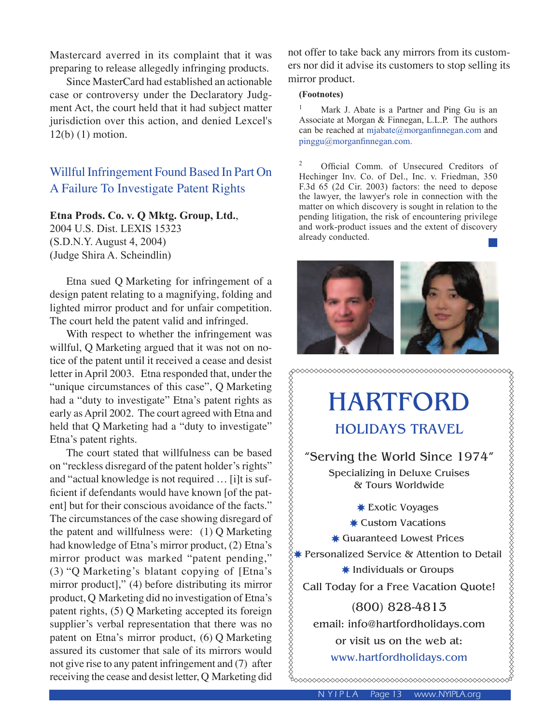Mastercard averred in its complaint that it was preparing to release allegedly infringing products.

 Since MasterCard had established an actionable case or controversy under the Declaratory Judgment Act, the court held that it had subject matter jurisdiction over this action, and denied Lexcel's 12(b) (1) motion.

# Willful Infringement Found Based In Part On A Failure To Investigate Patent Rights

#### **Etna Prods. Co. v. Q Mktg. Group, Ltd.**,

2004 U.S. Dist. LEXIS 15323 (S.D.N.Y. August 4, 2004) (Judge Shira A. Scheindlin)

 Etna sued Q Marketing for infringement of a design patent relating to a magnifying, folding and lighted mirror product and for unfair competition. The court held the patent valid and infringed.

With respect to whether the infringement was willful, Q Marketing argued that it was not on notice of the patent until it received a cease and desist letter in April 2003. Etna responded that, under the "unique circumstances of this case", Q Marketing had a "duty to investigate" Etna's patent rights as early as April 2002. The court agreed with Etna and held that Q Marketing had a "duty to investigate" Etna's patent rights.

 The court stated that willfulness can be based on "reckless disregard of the patent holder's rights" and "actual knowledge is not required … [i]t is sufficient if defendants would have known [of the patent] but for their conscious avoidance of the facts." The circumstances of the case showing disregard of the patent and willfulness were: (1) Q Marketing had knowledge of Etna's mirror product, (2) Etna's mirror product was marked "patent pending," (3) "Q Marketing's blatant copying of [Etna's mirror product]," (4) before distributing its mirror product, Q Marketing did no investigation of Etna's patent rights, (5) Q Marketing accepted its foreign supplier's verbal representation that there was no patent on Etna's mirror product, (6) Q Marketing assured its customer that sale of its mirrors would not give rise to any patent infringement and (7) after receiving the cease and desist letter, Q Marketing did

not offer to take back any mirrors from its customers nor did it advise its customers to stop selling its mirror product.

#### **(Footnotes)**

1 Mark J. Abate is a Partner and Ping Gu is an Associate at Morgan & Finnegan, L.L.P. The authors can be reached at mjabate@morganfinnegan.com and pinggu@morganfinnegan.com.

2 Official Comm. of Unsecured Creditors of Hechinger Inv. Co. of Del., Inc. v. Friedman, 350 F.3d 65 (2d Cir. 2003) factors: the need to depose the lawyer, the lawyer's role in connection with the matter on which discovery is sought in relation to the pending litigation, the risk of encountering privilege and work-product issues and the extent of discovery already conducted.



HARTFORD HOLIDAYS TRAVEL

"Serving the World Since 1974" Specializing in Deluxe Cruises & Tours Worldwide

✸ Exotic Voyages ✸ Custom Vacations ✸ Guaranteed Lowest Prices ✸ Personalized Service & Attention to Detail ✸ Individuals or Groups Call Today for a Free Vacation Quote!

(800) 828-4813 email: info@hartfordholidays.com or visit us on the web at: www.hartfordholidays.com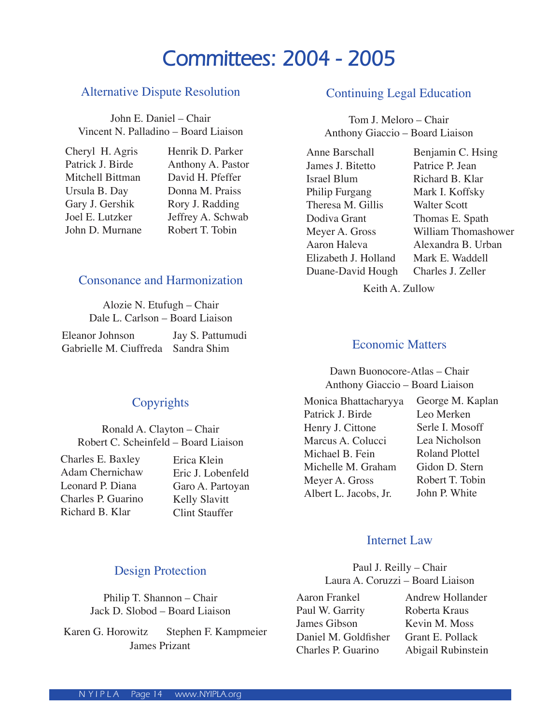# **Committees: 2004 - 2005**

## Alternative Dispute Resolution

John E. Daniel – Chair Vincent N. Palladino – Board Liaison

| Cheryl H. Agris  | Henrik D. Parker  |
|------------------|-------------------|
| Patrick J. Birde | Anthony A. Pastor |
| Mitchell Bittman | David H. Pfeffer  |
| Ursula B. Day    | Donna M. Praiss   |
| Gary J. Gershik  | Rory J. Radding   |
| Joel E. Lutzker  | Jeffrey A. Schwab |
| John D. Murnane  | Robert T. Tobin   |
|                  |                   |

## Consonance and Harmonization

Alozie N. Etufugh – Chair Dale L. Carlson – Board Liaison

| Eleanor Johnson                    | Jay S. Pattumudi |
|------------------------------------|------------------|
| Gabrielle M. Ciuffreda Sandra Shim |                  |

# **Copyrights**

Ronald A. Clayton – Chair Robert C. Scheinfeld – Board Liaison

Charles E. Baxley Adam Chernichaw Leonard P. Diana Charles P. Guarino Richard B. Klar

Erica Klein Eric J. Lobenfeld Garo A. Partoyan Kelly Slavitt Clint Stauffer

## Design Protection

Philip T. Shannon – Chair Jack D. Slobod – Board Liaison

Karen G. Horowitz Stephen F. Kampmeier James Prizant

#### Continuing Legal Education

Tom J. Meloro – Chair Anthony Giaccio – Board Liaison

| <b>Anne Barschall</b> |
|-----------------------|
| James J. Bitetto      |
| Israel Blum           |
| Philip Furgang        |
| Theresa M. Gillis     |
| Dodiva Grant          |
| Meyer A. Gross        |
| Aaron Haleva          |
| Elizabeth J. Holland  |
| Duane-David Hough     |
|                       |

Benjamin C. Hsing Patrice P. Jean Richard B. Klar Mark I. Koffsky Walter Scott Thomas E. Spath William Thomashower Alexandra B. Urban Mark E. Waddell Charles J. Zeller

Keith A. Zullow

## Economic Matters

Dawn Buonocore-Atlas – Chair Anthony Giaccio – Board Liaison

| Monica Bhattacharyya  | George M. Kaplan      |
|-----------------------|-----------------------|
| Patrick J. Birde      | Leo Merken            |
| Henry J. Cittone      | Serle I. Mosoff       |
| Marcus A. Colucci     | Lea Nicholson         |
| Michael B. Fein       | <b>Roland Plottel</b> |
| Michelle M. Graham    | Gidon D. Stern        |
| Meyer A. Gross        | Robert T. Tobin       |
| Albert L. Jacobs, Jr. | John P. White         |
|                       |                       |

#### Internet Law

Paul J. Reilly – Chair Laura A. Coruzzi – Board Liaison

Aaron Frankel Paul W. Garrity James Gibson Daniel M. Goldfisher Charles P. Guarino Andrew Hollander Roberta Kraus Kevin M. Moss Grant E. Pollack Abigail Rubinstein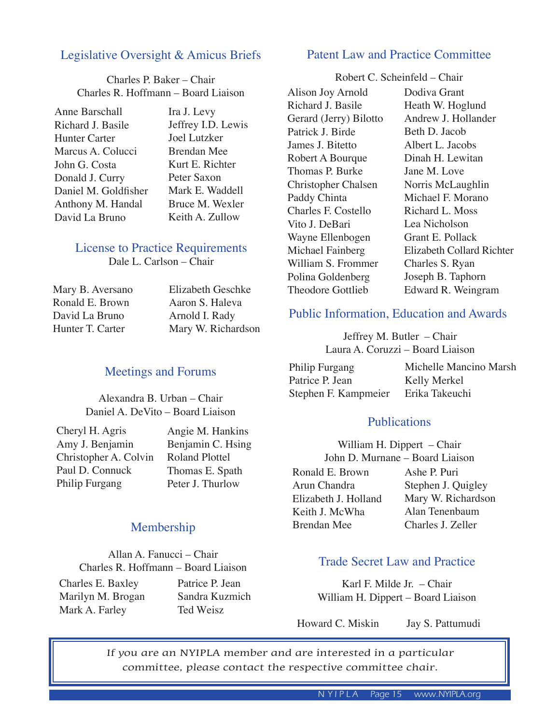# Legislative Oversight & Amicus Briefs

Charles P. Baker – Chair Charles R. Hoffmann – Board Liaison

Anne Barschall Richard J. Basile Hunter Carter Marcus A. Colucci John G. Costa Donald J. Curry Daniel M. Goldfisher Anthony M. Handal David La Bruno

Ira J. Levy Jeffrey I.D. Lewis Joel Lutzker Brendan Mee Kurt E. Richter Peter Saxon Mark E. Waddell Bruce M. Wexler Keith A. Zullow

#### License to Practice Requirements

Dale L. Carlson – Chair

| Mary B. Aversano | <b>Elizabeth Geschke</b> |
|------------------|--------------------------|
| Ronald E. Brown  | Aaron S. Haleva          |
| David La Bruno   | Arnold I. Rady           |
| Hunter T. Carter | Mary W. Richardson       |

# Meetings and Forums

Alexandra B. Urban – Chair Daniel A. DeVito – Board Liaison

Cheryl H. Agris Amy J. Benjamin Christopher A. Colvin Paul D. Connuck Philip Furgang

Angie M. Hankins Benjamin C. Hsing Roland Plottel Thomas E. Spath Peter J. Thurlow

## Membership

Allan A. Fanucci – Chair Charles R. Hoffmann – Board Liaison

Charles E. Baxley Marilyn M. Brogan Mark A. Farley

Patrice P. Jean Sandra Kuzmich Ted Weisz

## Patent Law and Practice Committee

Robert C. Scheinfeld – Chair

Alison Joy Arnold Richard J. Basile Gerard (Jerry) Bilotto Patrick J. Birde James J. Bitetto Robert A Bourque Thomas P. Burke Christopher Chalsen Paddy Chinta Charles F. Costello Vito J. DeBari Wayne Ellenbogen Michael Fainberg William S. Frommer Polina Goldenberg Theodore Gottlieb

Dodiva Grant Heath W. Hoglund Andrew J. Hollander Beth D. Jacob Albert L. Jacobs Dinah H. Lewitan Jane M. Love Norris McLaughlin Michael F. Morano Richard L. Moss Lea Nicholson Grant E. Pollack Elizabeth Collard Richter Charles S. Ryan Joseph B. Taphorn Edward R. Weingram

## Public Information, Education and Awards

Jeffrey M. Butler – Chair Laura A. Coruzzi – Board Liaison

| Philip Furgang       | Michelle Mancino Marsh |
|----------------------|------------------------|
| Patrice P. Jean      | Kelly Merkel           |
| Stephen F. Kampmeier | Erika Takeuchi         |

## **Publications**

William H. Dippert – Chair John D. Murnane – Board Liaison Ronald E. Brown Arun Chandra Elizabeth J. Holland Keith J. McWha Brendan Mee Ashe P. Puri Stephen J. Quigley Mary W. Richardson Alan Tenenbaum Charles J. Zeller

# Trade Secret Law and Practice

Karl F. Milde Jr. – Chair William H. Dippert – Board Liaison

Howard C. Miskin Jay S. Pattumudi

If you are an NYIPLA member and are interested in a particular committee, please contact the respective committee chair.